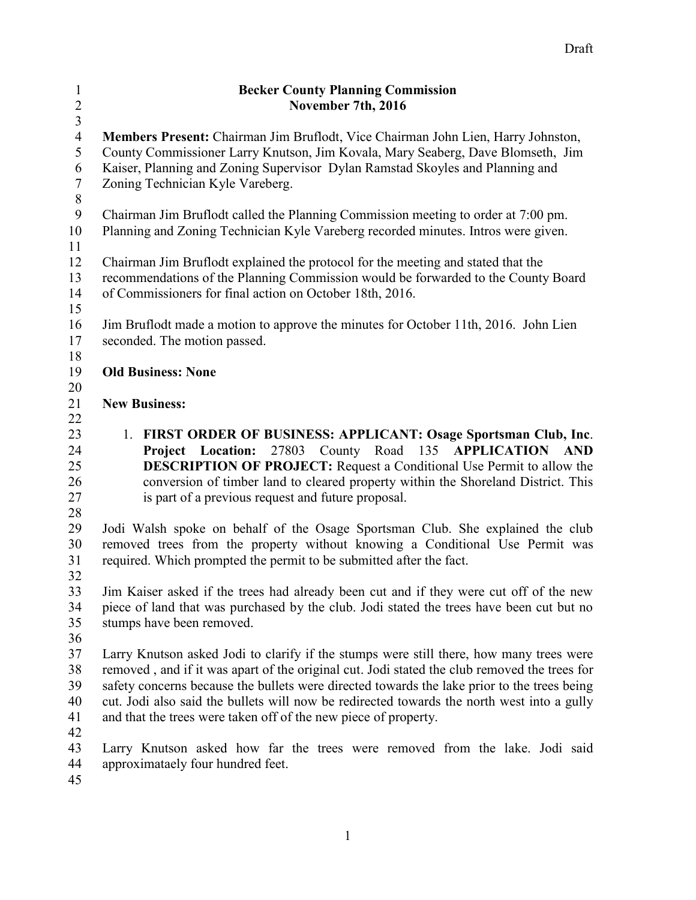| $\mathbf{1}$            | <b>Becker County Planning Commission</b>                                                                                                                       |
|-------------------------|----------------------------------------------------------------------------------------------------------------------------------------------------------------|
| $\overline{2}$          | November 7th, 2016                                                                                                                                             |
| $\overline{\mathbf{3}}$ |                                                                                                                                                                |
| $\overline{4}$          | Members Present: Chairman Jim Bruflodt, Vice Chairman John Lien, Harry Johnston,                                                                               |
| 5                       | County Commissioner Larry Knutson, Jim Kovala, Mary Seaberg, Dave Blomseth, Jim                                                                                |
| 6                       | Kaiser, Planning and Zoning Supervisor Dylan Ramstad Skoyles and Planning and                                                                                  |
| $\boldsymbol{7}$        | Zoning Technician Kyle Vareberg.                                                                                                                               |
| $\,8\,$                 |                                                                                                                                                                |
| 9                       | Chairman Jim Bruflodt called the Planning Commission meeting to order at 7:00 pm.                                                                              |
| 10                      | Planning and Zoning Technician Kyle Vareberg recorded minutes. Intros were given.                                                                              |
| 11                      |                                                                                                                                                                |
| 12                      | Chairman Jim Bruflodt explained the protocol for the meeting and stated that the                                                                               |
| 13                      | recommendations of the Planning Commission would be forwarded to the County Board                                                                              |
| 14                      | of Commissioners for final action on October 18th, 2016.                                                                                                       |
| 15                      |                                                                                                                                                                |
| 16                      | Jim Bruflodt made a motion to approve the minutes for October 11th, 2016. John Lien                                                                            |
| 17                      | seconded. The motion passed.                                                                                                                                   |
| 18                      |                                                                                                                                                                |
| 19                      | <b>Old Business: None</b>                                                                                                                                      |
| 20                      |                                                                                                                                                                |
| 21                      | <b>New Business:</b>                                                                                                                                           |
| 22                      |                                                                                                                                                                |
| 23                      | 1. FIRST ORDER OF BUSINESS: APPLICANT: Osage Sportsman Club, Inc.                                                                                              |
| 24                      | Project Location: 27803 County Road 135<br><b>APPLICATION AND</b>                                                                                              |
| 25                      | <b>DESCRIPTION OF PROJECT:</b> Request a Conditional Use Permit to allow the                                                                                   |
| 26                      | conversion of timber land to cleared property within the Shoreland District. This                                                                              |
| 27                      |                                                                                                                                                                |
|                         | is part of a previous request and future proposal.                                                                                                             |
| 28                      |                                                                                                                                                                |
| 29                      | Jodi Walsh spoke on behalf of the Osage Sportsman Club. She explained the club<br>removed trees from the property without knowing a Conditional Use Permit was |
| 30                      |                                                                                                                                                                |
| 31                      | required. Which prompted the permit to be submitted after the fact.                                                                                            |
| 32                      |                                                                                                                                                                |
| 33                      | Jim Kaiser asked if the trees had already been cut and if they were cut off of the new                                                                         |
| 34                      | piece of land that was purchased by the club. Jodi stated the trees have been cut but no                                                                       |
| 35                      | stumps have been removed.                                                                                                                                      |
| 36                      |                                                                                                                                                                |
| 37                      | Larry Knutson asked Jodi to clarify if the stumps were still there, how many trees were                                                                        |
| 38                      | removed, and if it was apart of the original cut. Jodi stated the club removed the trees for                                                                   |
| 39                      | safety concerns because the bullets were directed towards the lake prior to the trees being                                                                    |
| 40                      | cut. Jodi also said the bullets will now be redirected towards the north west into a gully                                                                     |
| 41                      | and that the trees were taken off of the new piece of property.                                                                                                |
| 42                      |                                                                                                                                                                |
| 43                      | Larry Knutson asked how far the trees were removed from the lake. Jodi said                                                                                    |
| 44                      | approximataely four hundred feet.                                                                                                                              |
| 45                      |                                                                                                                                                                |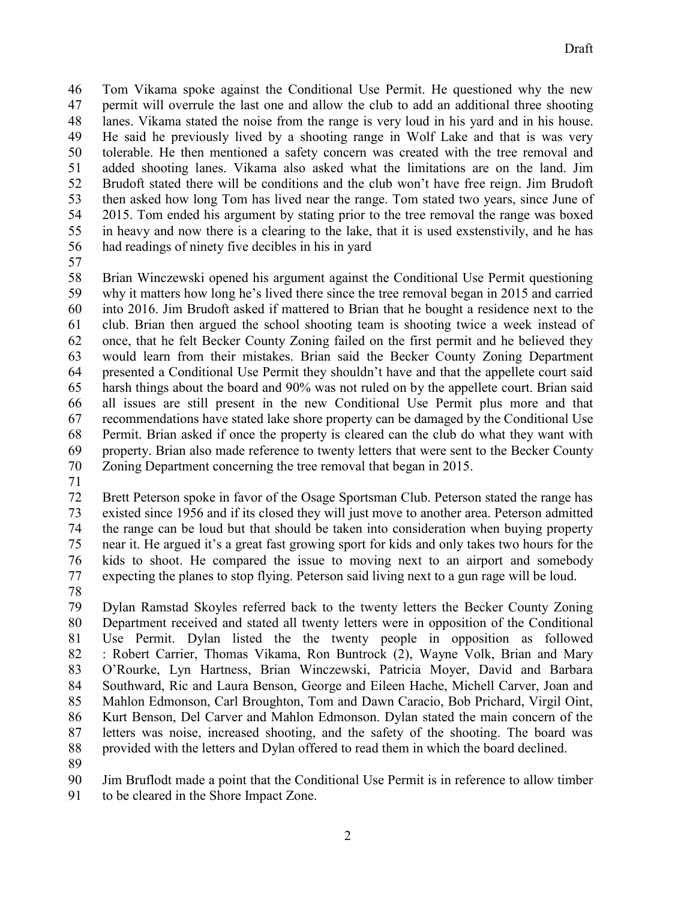Tom Vikama spoke against the Conditional Use Permit. He questioned why the new permit will overrule the last one and allow the club to add an additional three shooting lanes. Vikama stated the noise from the range is very loud in his yard and in his house. He said he previously lived by a shooting range in Wolf Lake and that is was very tolerable. He then mentioned a safety concern was created with the tree removal and added shooting lanes. Vikama also asked what the limitations are on the land. Jim Brudoft stated there will be conditions and the club won't have free reign. Jim Brudoft then asked how long Tom has lived near the range. Tom stated two years, since June of 2015. Tom ended his argument by stating prior to the tree removal the range was boxed in heavy and now there is a clearing to the lake, that it is used exstenstivily, and he has had readings of ninety five decibles in his in yard

 Brian Winczewski opened his argument against the Conditional Use Permit questioning why it matters how long he's lived there since the tree removal began in 2015 and carried into 2016. Jim Brudoft asked if mattered to Brian that he bought a residence next to the club. Brian then argued the school shooting team is shooting twice a week instead of once, that he felt Becker County Zoning failed on the first permit and he believed they would learn from their mistakes. Brian said the Becker County Zoning Department presented a Conditional Use Permit they shouldn't have and that the appellete court said harsh things about the board and 90% was not ruled on by the appellete court. Brian said all issues are still present in the new Conditional Use Permit plus more and that recommendations have stated lake shore property can be damaged by the Conditional Use Permit. Brian asked if once the property is cleared can the club do what they want with property. Brian also made reference to twenty letters that were sent to the Becker County Zoning Department concerning the tree removal that began in 2015.

 Brett Peterson spoke in favor of the Osage Sportsman Club. Peterson stated the range has existed since 1956 and if its closed they will just move to another area. Peterson admitted the range can be loud but that should be taken into consideration when buying property near it. He argued it's a great fast growing sport for kids and only takes two hours for the 76 kids to shoot. He compared the issue to moving next to an airport and somebody expecting the planes to stop flying. Peterson said living next to a gun rage will be loud. expecting the planes to stop flying. Peterson said living next to a gun rage will be loud.

 Dylan Ramstad Skoyles referred back to the twenty letters the Becker County Zoning Department received and stated all twenty letters were in opposition of the Conditional Use Permit. Dylan listed the the twenty people in opposition as followed : Robert Carrier, Thomas Vikama, Ron Buntrock (2), Wayne Volk, Brian and Mary O'Rourke, Lyn Hartness, Brian Winczewski, Patricia Moyer, David and Barbara Southward, Ric and Laura Benson, George and Eileen Hache, Michell Carver, Joan and Mahlon Edmonson, Carl Broughton, Tom and Dawn Caracio, Bob Prichard, Virgil Oint, Kurt Benson, Del Carver and Mahlon Edmonson. Dylan stated the main concern of the letters was noise, increased shooting, and the safety of the shooting. The board was provided with the letters and Dylan offered to read them in which the board declined.

Jim Bruflodt made a point that the Conditional Use Permit is in reference to allow timber

to be cleared in the Shore Impact Zone.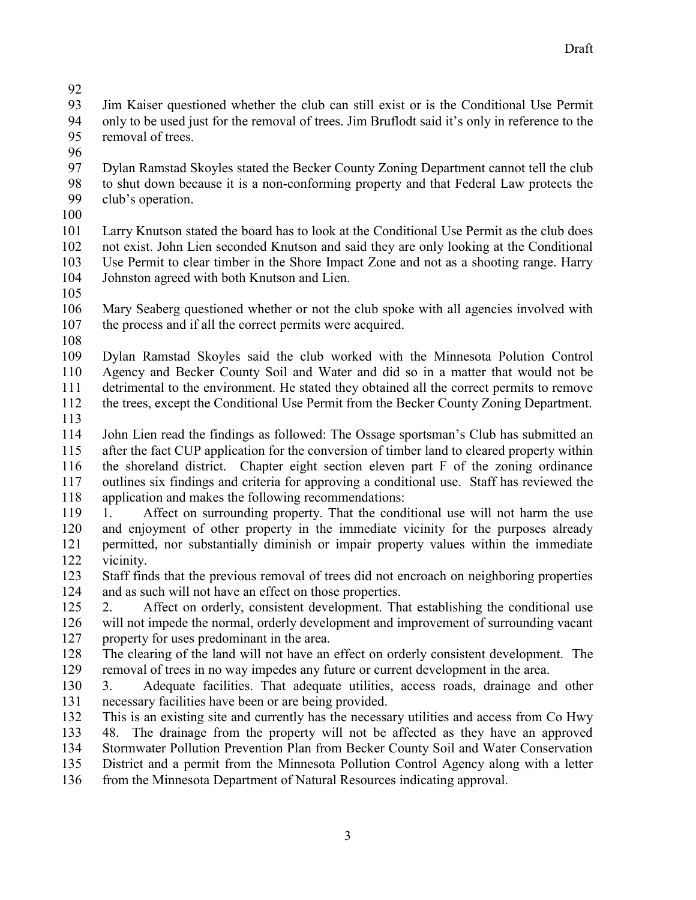Jim Kaiser questioned whether the club can still exist or is the Conditional Use Permit only to be used just for the removal of trees. Jim Bruflodt said it's only in reference to the removal of trees.

 Dylan Ramstad Skoyles stated the Becker County Zoning Department cannot tell the club 98 to shut down because it is a non-conforming property and that Federal Law protects the club's operation. club's operation.

 Larry Knutson stated the board has to look at the Conditional Use Permit as the club does not exist. John Lien seconded Knutson and said they are only looking at the Conditional Use Permit to clear timber in the Shore Impact Zone and not as a shooting range. Harry Johnston agreed with both Knutson and Lien.

 Mary Seaberg questioned whether or not the club spoke with all agencies involved with the process and if all the correct permits were acquired.

 Dylan Ramstad Skoyles said the club worked with the Minnesota Polution Control Agency and Becker County Soil and Water and did so in a matter that would not be detrimental to the environment. He stated they obtained all the correct permits to remove

the trees, except the Conditional Use Permit from the Becker County Zoning Department.

 John Lien read the findings as followed: The Ossage sportsman's Club has submitted an after the fact CUP application for the conversion of timber land to cleared property within the shoreland district. Chapter eight section eleven part F of the zoning ordinance outlines six findings and criteria for approving a conditional use. Staff has reviewed the application and makes the following recommendations:

 1. Affect on surrounding property. That the conditional use will not harm the use and enjoyment of other property in the immediate vicinity for the purposes already permitted, nor substantially diminish or impair property values within the immediate vicinity.

 Staff finds that the previous removal of trees did not encroach on neighboring properties and as such will not have an effect on those properties.

 2. Affect on orderly, consistent development. That establishing the conditional use will not impede the normal, orderly development and improvement of surrounding vacant property for uses predominant in the area.

 The clearing of the land will not have an effect on orderly consistent development. The removal of trees in no way impedes any future or current development in the area.

 3. Adequate facilities. That adequate utilities, access roads, drainage and other necessary facilities have been or are being provided.

 This is an existing site and currently has the necessary utilities and access from Co Hwy 48. The drainage from the property will not be affected as they have an approved Stormwater Pollution Prevention Plan from Becker County Soil and Water Conservation District and a permit from the Minnesota Pollution Control Agency along with a letter

from the Minnesota Department of Natural Resources indicating approval.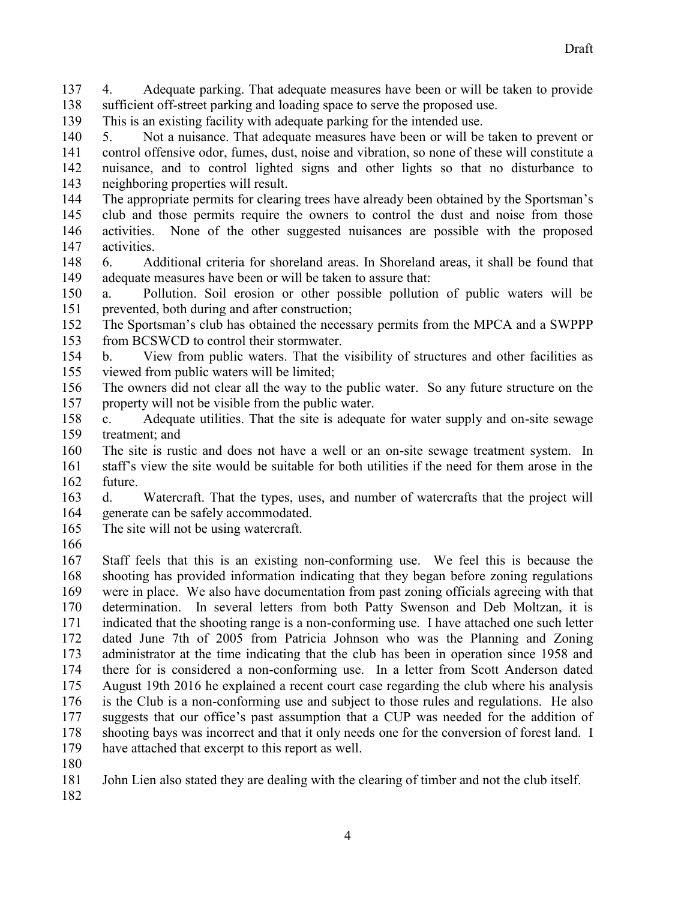4. Adequate parking. That adequate measures have been or will be taken to provide sufficient off-street parking and loading space to serve the proposed use.

This is an existing facility with adequate parking for the intended use.

 5. Not a nuisance. That adequate measures have been or will be taken to prevent or control offensive odor, fumes, dust, noise and vibration, so none of these will constitute a nuisance, and to control lighted signs and other lights so that no disturbance to neighboring properties will result.

 The appropriate permits for clearing trees have already been obtained by the Sportsman's club and those permits require the owners to control the dust and noise from those activities. None of the other suggested nuisances are possible with the proposed activities.

 6. Additional criteria for shoreland areas. In Shoreland areas, it shall be found that adequate measures have been or will be taken to assure that:

 a. Pollution. Soil erosion or other possible pollution of public waters will be prevented, both during and after construction;

 The Sportsman's club has obtained the necessary permits from the MPCA and a SWPPP from BCSWCD to control their stormwater.

 b. View from public waters. That the visibility of structures and other facilities as viewed from public waters will be limited;

 The owners did not clear all the way to the public water. So any future structure on the property will not be visible from the public water.

 c. Adequate utilities. That the site is adequate for water supply and on-site sewage treatment; and

 The site is rustic and does not have a well or an on-site sewage treatment system. In staff's view the site would be suitable for both utilities if the need for them arose in the future.

 d. Watercraft. That the types, uses, and number of watercrafts that the project will generate can be safely accommodated.

The site will not be using watercraft.

 Staff feels that this is an existing non-conforming use. We feel this is because the shooting has provided information indicating that they began before zoning regulations were in place. We also have documentation from past zoning officials agreeing with that determination. In several letters from both Patty Swenson and Deb Moltzan, it is indicated that the shooting range is a non-conforming use. I have attached one such letter dated June 7th of 2005 from Patricia Johnson who was the Planning and Zoning administrator at the time indicating that the club has been in operation since 1958 and there for is considered a non-conforming use. In a letter from Scott Anderson dated August 19th 2016 he explained a recent court case regarding the club where his analysis is the Club is a non-conforming use and subject to those rules and regulations. He also suggests that our office's past assumption that a CUP was needed for the addition of shooting bays was incorrect and that it only needs one for the conversion of forest land. I have attached that excerpt to this report as well.

John Lien also stated they are dealing with the clearing of timber and not the club itself.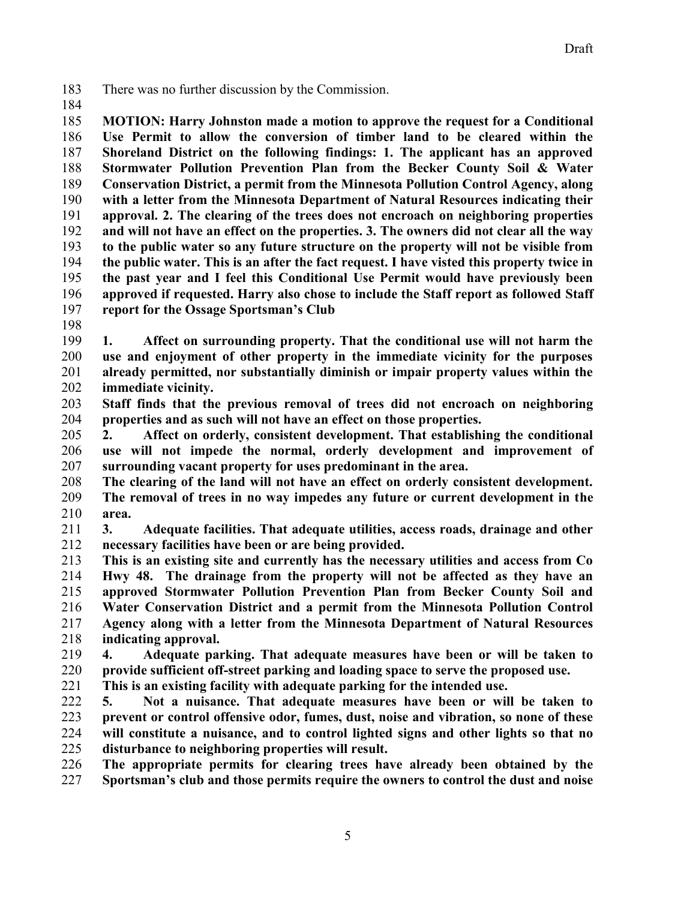There was no further discussion by the Commission.

 **MOTION: Harry Johnston made a motion to approve the request for a Conditional Use Permit to allow the conversion of timber land to be cleared within the Shoreland District on the following findings: 1. The applicant has an approved Stormwater Pollution Prevention Plan from the Becker County Soil & Water Conservation District, a permit from the Minnesota Pollution Control Agency, along with a letter from the Minnesota Department of Natural Resources indicating their approval. 2. The clearing of the trees does not encroach on neighboring properties and will not have an effect on the properties. 3. The owners did not clear all the way to the public water so any future structure on the property will not be visible from the public water. This is an after the fact request. I have visted this property twice in the past year and I feel this Conditional Use Permit would have previously been approved if requested. Harry also chose to include the Staff report as followed Staff report for the Ossage Sportsman's Club** 

 **1. Affect on surrounding property. That the conditional use will not harm the use and enjoyment of other property in the immediate vicinity for the purposes already permitted, nor substantially diminish or impair property values within the immediate vicinity.** 

 **Staff finds that the previous removal of trees did not encroach on neighboring properties and as such will not have an effect on those properties.** 

 **2. Affect on orderly, consistent development. That establishing the conditional use will not impede the normal, orderly development and improvement of surrounding vacant property for uses predominant in the area.** 

 **The clearing of the land will not have an effect on orderly consistent development. The removal of trees in no way impedes any future or current development in the area.** 

 **3. Adequate facilities. That adequate utilities, access roads, drainage and other necessary facilities have been or are being provided.** 

 **This is an existing site and currently has the necessary utilities and access from Co Hwy 48. The drainage from the property will not be affected as they have an approved Stormwater Pollution Prevention Plan from Becker County Soil and Water Conservation District and a permit from the Minnesota Pollution Control Agency along with a letter from the Minnesota Department of Natural Resources indicating approval.** 

 **4. Adequate parking. That adequate measures have been or will be taken to provide sufficient off-street parking and loading space to serve the proposed use.** 

**This is an existing facility with adequate parking for the intended use.** 

 **5. Not a nuisance. That adequate measures have been or will be taken to prevent or control offensive odor, fumes, dust, noise and vibration, so none of these will constitute a nuisance, and to control lighted signs and other lights so that no disturbance to neighboring properties will result.** 

 **The appropriate permits for clearing trees have already been obtained by the Sportsman's club and those permits require the owners to control the dust and noise**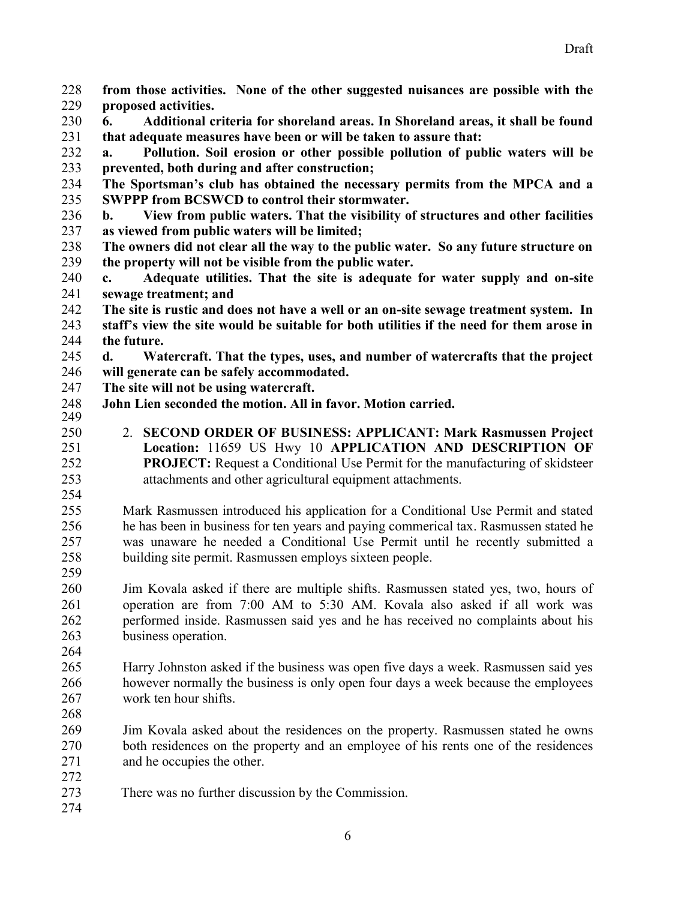**from those activities. None of the other suggested nuisances are possible with the proposed activities.** 

 **6. Additional criteria for shoreland areas. In Shoreland areas, it shall be found that adequate measures have been or will be taken to assure that:** 

 **a. Pollution. Soil erosion or other possible pollution of public waters will be prevented, both during and after construction;** 

 **The Sportsman's club has obtained the necessary permits from the MPCA and a SWPPP from BCSWCD to control their stormwater.** 

 **b. View from public waters. That the visibility of structures and other facilities as viewed from public waters will be limited;** 

 **The owners did not clear all the way to the public water. So any future structure on the property will not be visible from the public water.** 

 **c. Adequate utilities. That the site is adequate for water supply and on-site sewage treatment; and** 

 **The site is rustic and does not have a well or an on-site sewage treatment system. In staff's view the site would be suitable for both utilities if the need for them arose in the future.** 

 **d. Watercraft. That the types, uses, and number of watercrafts that the project will generate can be safely accommodated.** 

**The site will not be using watercraft.** 

**John Lien seconded the motion. All in favor. Motion carried.** 

 2. **SECOND ORDER OF BUSINESS: APPLICANT: Mark Rasmussen Project Location:** 11659 US Hwy 10 **APPLICATION AND DESCRIPTION OF PROJECT:** Request a Conditional Use Permit for the manufacturing of skidsteer attachments and other agricultural equipment attachments.

 Mark Rasmussen introduced his application for a Conditional Use Permit and stated he has been in business for ten years and paying commerical tax. Rasmussen stated he was unaware he needed a Conditional Use Permit until he recently submitted a building site permit. Rasmussen employs sixteen people.

 Jim Kovala asked if there are multiple shifts. Rasmussen stated yes, two, hours of operation are from 7:00 AM to 5:30 AM. Kovala also asked if all work was performed inside. Rasmussen said yes and he has received no complaints about his business operation.

 Harry Johnston asked if the business was open five days a week. Rasmussen said yes however normally the business is only open four days a week because the employees work ten hour shifts.

 Jim Kovala asked about the residences on the property. Rasmussen stated he owns both residences on the property and an employee of his rents one of the residences and he occupies the other.

273 There was no further discussion by the Commission.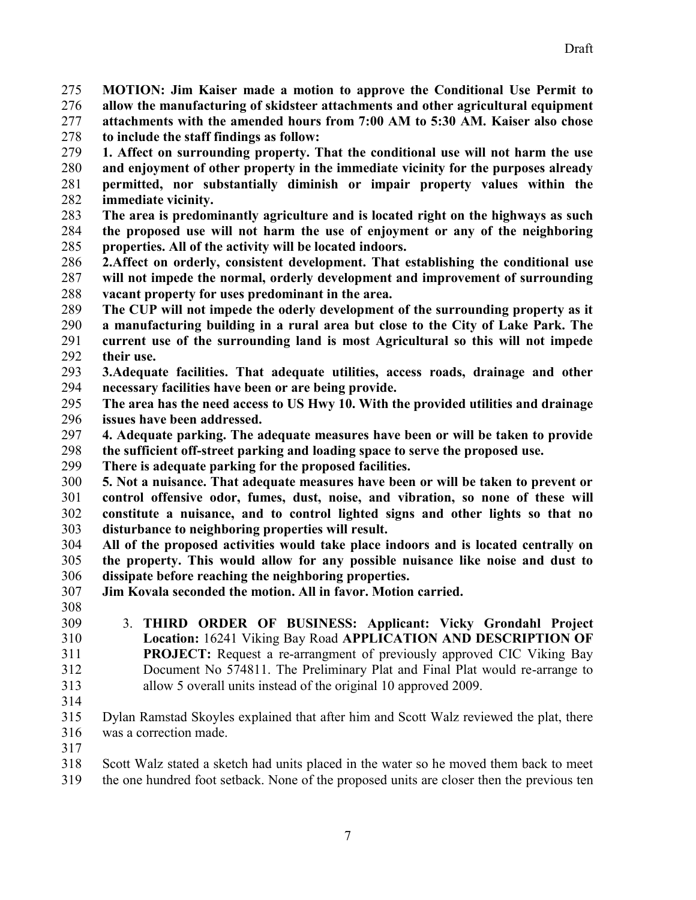**MOTION: Jim Kaiser made a motion to approve the Conditional Use Permit to** 

- **allow the manufacturing of skidsteer attachments and other agricultural equipment attachments with the amended hours from 7:00 AM to 5:30 AM. Kaiser also chose**
- **to include the staff findings as follow: 1. Affect on surrounding property. That the conditional use will not harm the use**
- **and enjoyment of other property in the immediate vicinity for the purposes already permitted, nor substantially diminish or impair property values within the immediate vicinity.**
- **The area is predominantly agriculture and is located right on the highways as such the proposed use will not harm the use of enjoyment or any of the neighboring properties. All of the activity will be located indoors.**
- **2.Affect on orderly, consistent development. That establishing the conditional use will not impede the normal, orderly development and improvement of surrounding vacant property for uses predominant in the area.**
- **The CUP will not impede the oderly development of the surrounding property as it a manufacturing building in a rural area but close to the City of Lake Park. The current use of the surrounding land is most Agricultural so this will not impede**
- **their use.**
- **3.Adequate facilities. That adequate utilities, access roads, drainage and other necessary facilities have been or are being provide.**
- **The area has the need access to US Hwy 10. With the provided utilities and drainage issues have been addressed.**
- **4. Adequate parking. The adequate measures have been or will be taken to provide**
- **the sufficient off-street parking and loading space to serve the proposed use.**
- **There is adequate parking for the proposed facilities.**
- **5. Not a nuisance. That adequate measures have been or will be taken to prevent or control offensive odor, fumes, dust, noise, and vibration, so none of these will constitute a nuisance, and to control lighted signs and other lights so that no disturbance to neighboring properties will result.**
- **All of the proposed activities would take place indoors and is located centrally on the property. This would allow for any possible nuisance like noise and dust to dissipate before reaching the neighboring properties.**
- **Jim Kovala seconded the motion. All in favor. Motion carried.**
- 
- 3. **THIRD ORDER OF BUSINESS: Applicant: Vicky Grondahl Project Location:** 16241 Viking Bay Road **APPLICATION AND DESCRIPTION OF PROJECT:** Request a re-arrangment of previously approved CIC Viking Bay Document No 574811. The Preliminary Plat and Final Plat would re-arrange to allow 5 overall units instead of the original 10 approved 2009.
- 
- Dylan Ramstad Skoyles explained that after him and Scott Walz reviewed the plat, there was a correction made.

- Scott Walz stated a sketch had units placed in the water so he moved them back to meet
- the one hundred foot setback. None of the proposed units are closer then the previous ten